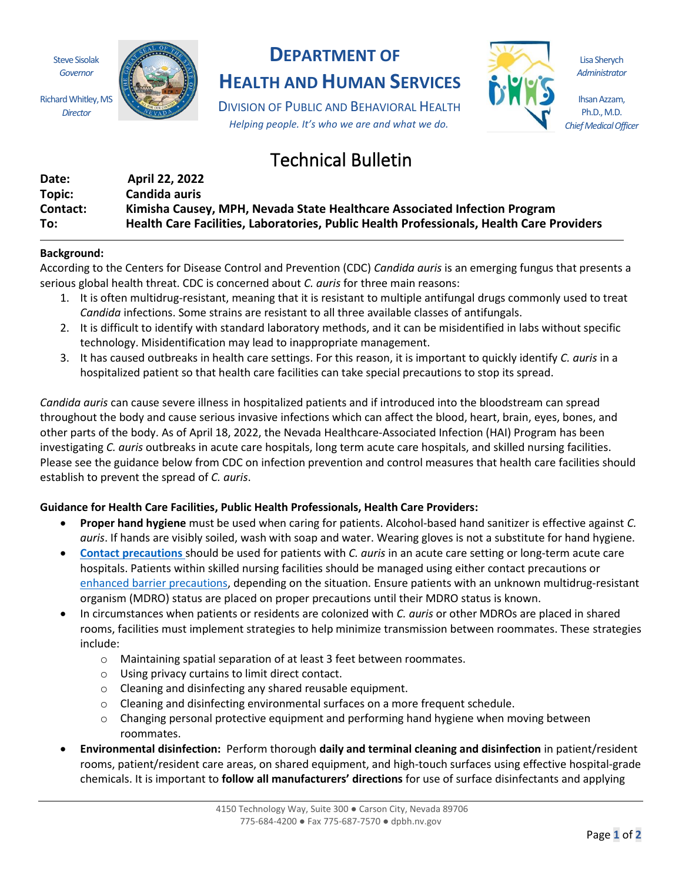Steve Sisolak *Governor*

Richard Whitley, MS *Director*



## **DEPARTMENT OF**

**HEALTH AND HUMAN SERVICES**

DIVISION OF PUBLIC AND BEHAVIORAL HEALTH *Helping people. It's who we are and what we do.*

# Technical Bulletin

| Date:    | April 22, 2022                                                                           |
|----------|------------------------------------------------------------------------------------------|
| Topic:   | Candida auris                                                                            |
| Contact: | Kimisha Causey, MPH, Nevada State Healthcare Associated Infection Program                |
| To:      | Health Care Facilities, Laboratories, Public Health Professionals, Health Care Providers |

### **Background:**

According to the Centers for Disease Control and Prevention (CDC) *Candida auris* is an emerging fungus that presents a serious global health threat. CDC is concerned about *C. auris* for three main reasons:

- 1. It is often multidrug-resistant, meaning that it is resistant to multiple antifungal drugs commonly used to treat *Candida* infections. Some strains are resistant to all three available classes of antifungals.
- 2. It is difficult to identify with standard laboratory methods, and it can be misidentified in labs without specific technology. Misidentification may lead to inappropriate management.
- 3. It has caused outbreaks in health care settings. For this reason, it is important to quickly identify *C. auris* in a hospitalized patient so that health care facilities can take special precautions to stop its spread.

*Candida auris* can cause severe illness in hospitalized patients and if introduced into the bloodstream can spread throughout the body and cause serious invasive infections which can affect the blood, heart, brain, eyes, bones, and other parts of the body. As of April 18, 2022, the Nevada Healthcare-Associated Infection (HAI) Program has been investigating *C. auris* outbreaks in acute care hospitals, long term acute care hospitals, and skilled nursing facilities. Please see the guidance below from CDC on infection prevention and control measures that health care facilities should establish to prevent the spread of *C. auris*.

#### **Guidance for Health Care Facilities, Public Health Professionals, Health Care Providers:**

- **Proper hand hygiene** must be used when caring for patients. Alcohol-based hand sanitizer is effective against *C. auris*. If hands are visibly soiled, wash with soap and water. Wearing gloves is not a substitute for hand hygiene.
- **[Contact precautions](https://www.cdc.gov/infectioncontrol/guidelines/isolation/precautions.html)** should be used for patients with *C. auris* in an acute care setting or long-term acute care hospitals. Patients within skilled nursing facilities should be managed using either contact precautions or [enhanced barrier precautions,](https://www.cdc.gov/hai/containment/PPE-Nursing-Homes.html) depending on the situation. Ensure patients with an unknown multidrug-resistant organism (MDRO) status are placed on proper precautions until their MDRO status is known.
- In circumstances when patients or residents are colonized with *C. auris* or other MDROs are placed in shared rooms, facilities must implement strategies to help minimize transmission between roommates. These strategies include:
	- o Maintaining spatial separation of at least 3 feet between roommates.
	- o Using privacy curtains to limit direct contact.
	- o Cleaning and disinfecting any shared reusable equipment.
	- o Cleaning and disinfecting environmental surfaces on a more frequent schedule.
	- $\circ$  Changing personal protective equipment and performing hand hygiene when moving between roommates.
- **Environmental disinfection:** Perform thorough **daily and terminal cleaning and disinfection** in patient/resident rooms, patient/resident care areas, on shared equipment, and high-touch surfaces using effective hospital-grade chemicals. It is important to **follow all manufacturers' directions** for use of surface disinfectants and applying

Lisa Sherych *Administrator*

Ihsan Azzam, Ph.D., M.D. *Chief Medical Officer*